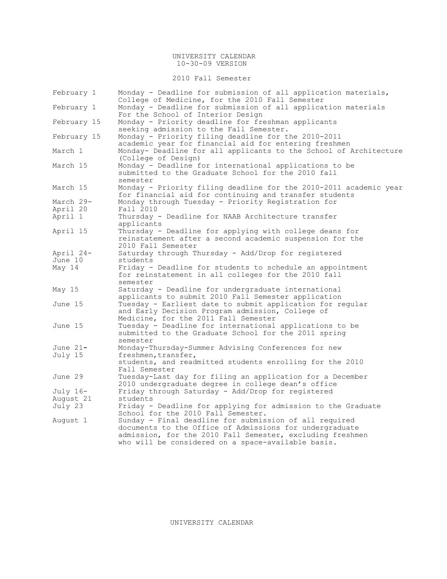### UNIVERSITY CALENDAR 10-30-09 VERSION

2010 Fall Semester

| February 1  | Monday - Deadline for submission of all application materials,<br>College of Medicine, for the 2010 Fall Semester                         |  |  |  |  |  |  |
|-------------|-------------------------------------------------------------------------------------------------------------------------------------------|--|--|--|--|--|--|
| February 1  | Monday - Deadline for submission of all application materials<br>For the School of Interior Design                                        |  |  |  |  |  |  |
|             |                                                                                                                                           |  |  |  |  |  |  |
| February 15 | Monday - Priority deadline for freshman applicants<br>seeking admission to the Fall Semester.                                             |  |  |  |  |  |  |
| February 15 | Monday - Priority filing deadline for the 2010-2011<br>academic year for financial aid for entering freshmen                              |  |  |  |  |  |  |
| March 1     | Monday- Deadline for all applicants to the School of Architecture<br>(College of Design)                                                  |  |  |  |  |  |  |
| March 15    | Monday - Deadline for international applications to be<br>submitted to the Graduate School for the 2010 fall<br>semester                  |  |  |  |  |  |  |
| March 15    | Monday - Priority filing deadline for the 2010-2011 academic year<br>for financial aid for continuing and transfer students               |  |  |  |  |  |  |
| March 29-   | Monday through Tuesday - Priority Registration for                                                                                        |  |  |  |  |  |  |
| April 20    | Fall 2010                                                                                                                                 |  |  |  |  |  |  |
| April 1     | Thursday - Deadline for NAAB Architecture transfer<br>applicants                                                                          |  |  |  |  |  |  |
|             |                                                                                                                                           |  |  |  |  |  |  |
| April 15    | Thursday - Deadline for applying with college deans for<br>reinstatement after a second academic suspension for the<br>2010 Fall Semester |  |  |  |  |  |  |
|             |                                                                                                                                           |  |  |  |  |  |  |
| April 24-   | Saturday through Thursday - Add/Drop for registered                                                                                       |  |  |  |  |  |  |
| June 10     | students                                                                                                                                  |  |  |  |  |  |  |
| May 14      | Friday - Deadline for students to schedule an appointment<br>for reinstatement in all colleges for the 2010 fall<br>semester              |  |  |  |  |  |  |
|             | Saturday - Deadline for undergraduate international                                                                                       |  |  |  |  |  |  |
| May 15      | applicants to submit 2010 Fall Semester application                                                                                       |  |  |  |  |  |  |
|             |                                                                                                                                           |  |  |  |  |  |  |
| June 15     | Tuesday - Earliest date to submit application for regular<br>and Early Decision Program admission, College of                             |  |  |  |  |  |  |
|             |                                                                                                                                           |  |  |  |  |  |  |
| June 15     | Medicine, for the 2011 Fall Semester<br>Tuesday - Deadline for international applications to be                                           |  |  |  |  |  |  |
|             |                                                                                                                                           |  |  |  |  |  |  |
|             | submitted to the Graduate School for the 2011 spring<br>semester                                                                          |  |  |  |  |  |  |
| June $21-$  | Monday-Thursday-Summer Advising Conferences for new                                                                                       |  |  |  |  |  |  |
| July 15     | freshmen, transfer,                                                                                                                       |  |  |  |  |  |  |
|             | students, and readmitted students enrolling for the 2010                                                                                  |  |  |  |  |  |  |
|             | Fall Semester                                                                                                                             |  |  |  |  |  |  |
| June 29     | Tuesday-Last day for filing an application for a December                                                                                 |  |  |  |  |  |  |
|             | 2010 undergraduate degree in college dean's office                                                                                        |  |  |  |  |  |  |
| July 16-    | Friday through Saturday - Add/Drop for registered                                                                                         |  |  |  |  |  |  |
| August 21   | students                                                                                                                                  |  |  |  |  |  |  |
| July 23     | Friday - Deadline for applying for admission to the Graduate<br>School for the 2010 Fall Semester.                                        |  |  |  |  |  |  |
| August 1    | Sunday - Final deadline for submission of all required                                                                                    |  |  |  |  |  |  |
|             | documents to the Office of Admissions for undergraduate                                                                                   |  |  |  |  |  |  |
|             | admission, for the 2010 Fall Semester, excluding freshmen                                                                                 |  |  |  |  |  |  |
|             | who will be considered on a space-available basis.                                                                                        |  |  |  |  |  |  |
|             |                                                                                                                                           |  |  |  |  |  |  |

UNIVERSITY CALENDAR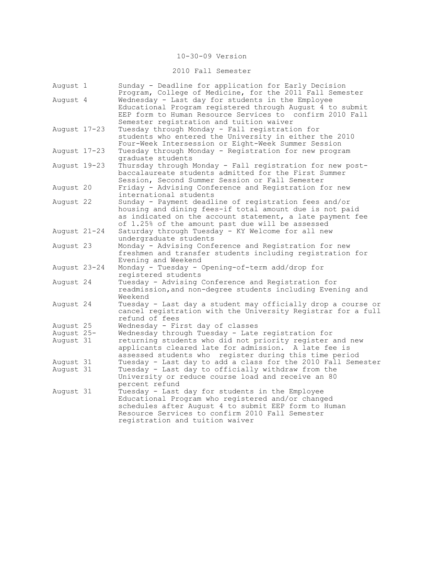## 10-30-09 Version

## 2010 Fall Semester

| August 1                | Sunday - Deadline for application for Early Decision<br>Program, College of Medicine, for the 2011 Fall Semester      |
|-------------------------|-----------------------------------------------------------------------------------------------------------------------|
| August 4                | Wednesday - Last day for students in the Employee                                                                     |
|                         | Educational Program registered through August 4 to submit<br>EEP form to Human Resource Services to confirm 2010 Fall |
|                         | Semester registration and tuition waiver                                                                              |
| August 17-23            | Tuesday through Monday - Fall registration for                                                                        |
|                         | students who entered the University in either the 2010                                                                |
|                         | Four-Week Intersession or Eight-Week Summer Session                                                                   |
| August 17-23            | Tuesday through Monday - Registration for new program                                                                 |
|                         | graduate students                                                                                                     |
| August 19-23            | Thursday through Monday - Fall registration for new post-<br>baccalaureate students admitted for the First Summer     |
|                         | Session, Second Summer Session or Fall Semester                                                                       |
| August 20               | Friday - Advising Conference and Registration for new                                                                 |
|                         | international students                                                                                                |
| August 22               | Sunday - Payment deadline of registration fees and/or                                                                 |
|                         | housing and dining fees-if total amount due is not paid                                                               |
|                         | as indicated on the account statement, a late payment fee                                                             |
|                         | of 1.25% of the amount past due will be assessed                                                                      |
| August 21-24            | Saturday through Tuesday - KY Welcome for all new                                                                     |
|                         | undergraduate students                                                                                                |
| August 23               | Monday - Advising Conference and Registration for new                                                                 |
|                         | freshmen and transfer students including registration for                                                             |
|                         | Evening and Weekend                                                                                                   |
| August 23-24            | Monday - Tuesday - Opening-of-term add/drop for                                                                       |
|                         | registered students                                                                                                   |
| August 24               | Tuesday - Advising Conference and Registration for                                                                    |
|                         | readmission, and non-degree students including Evening and                                                            |
|                         | Weekend                                                                                                               |
| August 24               | Tuesday - Last day a student may officially drop a course or                                                          |
|                         | cancel registration with the University Registrar for a full                                                          |
|                         | refund of fees                                                                                                        |
| August 25               | Wednesday - First day of classes<br>Wednesday through Tuesday - Late registration for                                 |
| August 25-<br>August 31 | returning students who did not priority register and new                                                              |
|                         | applicants cleared late for admission. A late fee is                                                                  |
|                         | assessed students who register during this time period                                                                |
| August 31               | Tuesday - Last day to add a class for the 2010 Fall Semester                                                          |
| August 31               | Tuesday - Last day to officially withdraw from the                                                                    |
|                         | University or reduce course load and receive an 80                                                                    |
|                         | percent refund                                                                                                        |
| August 31               | Tuesday - Last day for students in the Employee                                                                       |
|                         | Educational Program who registered and/or changed                                                                     |
|                         | schedules after August 4 to submit EEP form to Human                                                                  |
|                         | Resource Services to confirm 2010 Fall Semester                                                                       |
|                         | registration and tuition waiver                                                                                       |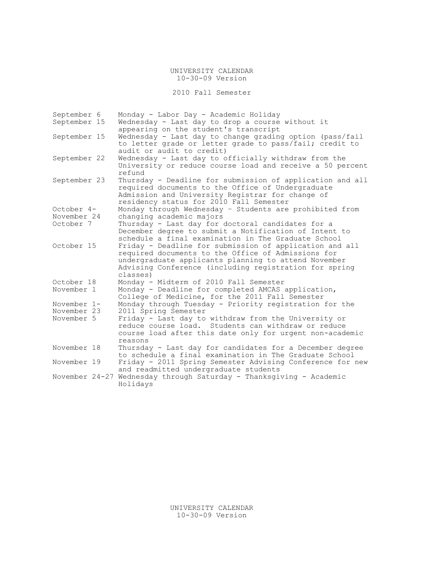UNIVERSITY CALENDAR 10-30-09 Version

2010 Fall Semester

| September 6    | Monday - Labor Day - Academic Holiday                                                                                                                                                                                                       |
|----------------|---------------------------------------------------------------------------------------------------------------------------------------------------------------------------------------------------------------------------------------------|
| September 15   | Wednesday - Last day to drop a course without it                                                                                                                                                                                            |
|                | appearing on the student's transcript                                                                                                                                                                                                       |
| September 15   | Wednesday - Last day to change grading option (pass/fail<br>to letter grade or letter grade to pass/fail; credit to                                                                                                                         |
|                | audit or audit to credit)                                                                                                                                                                                                                   |
| September 22   | Wednesday - Last day to officially withdraw from the<br>University or reduce course load and receive a 50 percent<br>refund                                                                                                                 |
| September 23   | Thursday - Deadline for submission of application and all                                                                                                                                                                                   |
|                | required documents to the Office of Undergraduate<br>Admission and University Registrar for change of<br>residency status for 2010 Fall Semester                                                                                            |
| October 4-     | Monday through Wednesday - Students are prohibited from                                                                                                                                                                                     |
| November 24    | changing academic majors                                                                                                                                                                                                                    |
| October 7      | Thursday - Last day for doctoral candidates for a                                                                                                                                                                                           |
|                | December degree to submit a Notification of Intent to<br>schedule a final examination in The Graduate School                                                                                                                                |
| October 15     | Friday - Deadline for submission of application and all<br>required documents to the Office of Admissions for<br>undergraduate applicants planning to attend November<br>Advising Conference (including registration for spring<br>classes) |
| October 18     | Monday - Midterm of 2010 Fall Semester                                                                                                                                                                                                      |
| November 1     | Monday - Deadline for completed AMCAS application,<br>College of Medicine, for the 2011 Fall Semester                                                                                                                                       |
| November 1-    | Monday through Tuesday - Priority registration for the                                                                                                                                                                                      |
| November 23    | 2011 Spring Semester                                                                                                                                                                                                                        |
| November 5     | Friday - Last day to withdraw from the University or<br>reduce course load. Students can withdraw or reduce<br>course load after this date only for urgent non-academic<br>reasons                                                          |
| November 18    | Thursday - Last day for candidates for a December degree<br>to schedule a final examination in The Graduate School                                                                                                                          |
| November 19    | Friday - 2011 Spring Semester Advising Conference for new<br>and readmitted undergraduate students                                                                                                                                          |
| November 24-27 | Wednesday through Saturday - Thanksgiving - Academic<br>Holidays                                                                                                                                                                            |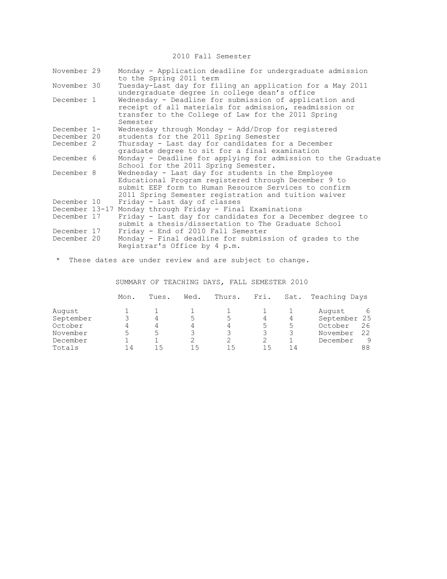2010 Fall Semester

| November 29    | Monday - Application deadline for undergraduate admission<br>to the Spring 2011 term                                                                                                                                       |
|----------------|----------------------------------------------------------------------------------------------------------------------------------------------------------------------------------------------------------------------------|
| November 30    | Tuesday-Last day for filing an application for a May 2011<br>undergraduate degree in college dean's office                                                                                                                 |
| December 1     | Wednesday - Deadline for submission of application and<br>receipt of all materials for admission, readmission or<br>transfer to the College of Law for the 2011 Spring<br>Semester                                         |
| December 1-    | Wednesday through Monday - Add/Drop for registered                                                                                                                                                                         |
| December 20    | students for the 2011 Spring Semester                                                                                                                                                                                      |
| December 2     | Thursday - Last day for candidates for a December<br>graduate degree to sit for a final examination                                                                                                                        |
| December 6     | Monday - Deadline for applying for admission to the Graduate<br>School for the 2011 Spring Semester.                                                                                                                       |
| December 8     | Wednesday - Last day for students in the Employee<br>Educational Program registered through December 9 to<br>submit EEP form to Human Resource Services to confirm<br>2011 Spring Semester registration and tuition waiver |
| December 10    | Friday - Last day of classes                                                                                                                                                                                               |
| December 13-17 | Monday through Friday - Final Examinations                                                                                                                                                                                 |
| December 17    | Friday - Last day for candidates for a December degree to<br>submit a thesis/dissertation to The Graduate School                                                                                                           |
| December 17    | Friday - End of 2010 Fall Semester                                                                                                                                                                                         |
| December 20    | Monday - Final deadline for submission of grades to the<br>Registrar's Office by 4 p.m.                                                                                                                                    |

\* These dates are under review and are subject to change.

SUMMARY OF TEACHING DAYS, FALL SEMESTER 2010

|           | Mon. | Tues. | Wed. | Thurs. | Fri. | Sat. | Teaching Days |    |
|-----------|------|-------|------|--------|------|------|---------------|----|
| August    |      |       |      |        |      |      | August        | 6  |
| September |      |       |      |        |      |      | September 25  |    |
| October   |      |       |      |        | 5    | 5    | October       | 26 |
| November  |      | 5     |      |        |      |      | November      | 22 |
| December  |      |       |      |        |      |      | December      | 9  |
| Totals    | l 4  | ۱5    | 15   | 15     | 15   | 14   |               | 88 |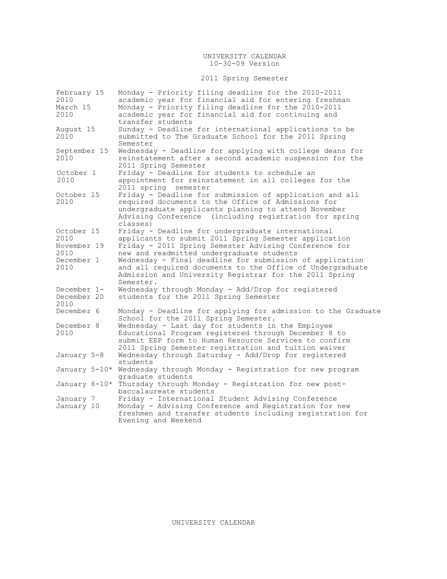### UNIVERSITY CALENDAR 10-30-09 Version

# 2011 Spring Semester

| February 15   | Monday - Priority filing deadline for the 2010-2011                                                  |
|---------------|------------------------------------------------------------------------------------------------------|
| 2010          | academic year for financial aid for entering freshman                                                |
| March 15      | Monday - Priority filing deadline for the 2010-2011                                                  |
| 2010          | academic year for financial aid for continuing and                                                   |
|               | transfer students                                                                                    |
| August 15     | Sunday - Deadline for international applications to be                                               |
| 2010          | submitted to The Graduate School for the 2011 Spring<br>Semester                                     |
| September 15  | Wednesday - Deadline for applying with college deans for                                             |
| 2010          | reinstatement after a second academic suspension for the                                             |
| October 1     | 2011 Spring Semester<br>Friday - Deadline for students to schedule an                                |
| 2010          | appointment for reinstatement in all colleges for the                                                |
|               | 2011 spring semester                                                                                 |
| October 15    | Friday - Deadline for submission of application and all                                              |
| 2010          | required documents to the Office of Admissions for                                                   |
|               | undergraduate applicants planning to attend November                                                 |
|               | Advising Conference (including registration for spring                                               |
|               | classes)                                                                                             |
| October 15    | Friday - Deadline for undergraduate international                                                    |
| 2010          | applicants to submit 2011 Spring Semester application                                                |
| November 19   | Friday - 2011 Spring Semester Advising Conference for                                                |
| 2010          | new and readmitted undergraduate students                                                            |
| December 1    | Wednesday - Final deadline for submission of application                                             |
| 2010          | and all required documents to the Office of Undergraduate                                            |
|               | Admission and University Registrar for the 2011 Spring                                               |
|               | Semester.                                                                                            |
| December 1-   | Wednesday through Monday - Add/Drop for registered                                                   |
| December 20   | students for the 2011 Spring Semester                                                                |
| 2010          |                                                                                                      |
| December 6    | Monday - Deadline for applying for admission to the Graduate<br>School for the 2011 Spring Semester. |
| December 8    | Wednesday - Last day for students in the Employee                                                    |
| 2010          | Educational Program registered through December 8 to                                                 |
|               | submit EEP form to Human Resource Services to confirm                                                |
|               | 2011 Spring Semester registration and tuition waiver                                                 |
| January 5-8   | Wednesday through Saturday - Add/Drop for registered                                                 |
|               | students                                                                                             |
| January 5-10* | Wednesday through Monday - Registration for new program                                              |
|               | graduate students                                                                                    |
|               | January 6-10* Thursday through Monday - Registration for new post-                                   |
|               | baccalaureate students                                                                               |
| January 7     | Friday - International Student Advising Conference                                                   |
| January 10    | Monday - Advising Conference and Registration for new                                                |
|               | freshmen and transfer students including registration for                                            |
|               | Evening and Weekend                                                                                  |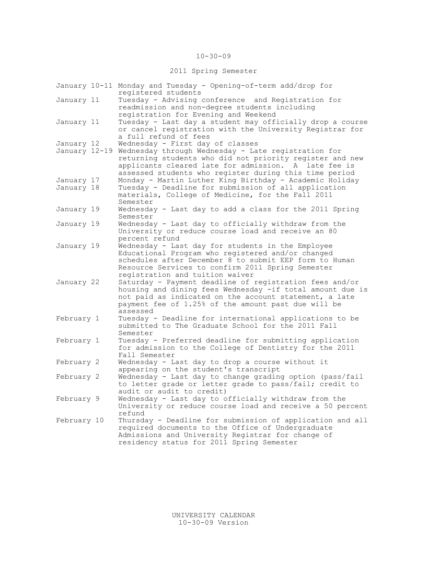### 10-30-09

## 2011 Spring Semester

|             | January 10-11 Monday and Tuesday - Opening-of-term add/drop for<br>registered students                                                                                                                                                          |
|-------------|-------------------------------------------------------------------------------------------------------------------------------------------------------------------------------------------------------------------------------------------------|
| January 11  | Tuesday - Advising conference and Registration for<br>readmission and non-degree students including<br>registration for Evening and Weekend                                                                                                     |
| January 11  | Tuesday - Last day a student may officially drop a course<br>or cancel registration with the University Registrar for<br>a full refund of fees                                                                                                  |
| January 12  | Wednesday - First day of classes                                                                                                                                                                                                                |
|             | January 12-19 Wednesday through Wednesday - Late registration for<br>returning students who did not priority register and new<br>applicants cleared late for admission. A late fee is<br>assessed students who register during this time period |
| January 17  | Monday - Martin Luther King Birthday - Academic Holiday                                                                                                                                                                                         |
| January 18  | Tuesday - Deadline for submission of all application<br>materials, College of Medicine, for the Fall 2011<br>Semester                                                                                                                           |
| January 19  | Wednesday - Last day to add a class for the 2011 Spring<br>Semester                                                                                                                                                                             |
| January 19  | Wednesday - Last day to officially withdraw from the                                                                                                                                                                                            |
|             | University or reduce course load and receive an 80                                                                                                                                                                                              |
| January 19  | percent refund<br>Wednesday - Last day for students in the Employee                                                                                                                                                                             |
|             | Educational Program who registered and/or changed<br>schedules after December 8 to submit EEP form to Human                                                                                                                                     |
|             | Resource Services to confirm 2011 Spring Semester<br>registration and tuition waiver                                                                                                                                                            |
| January 22  | Saturday - Payment deadline of registration fees and/or<br>housing and dining fees Wednesday -if total amount due is<br>not paid as indicated on the account statement, a late<br>payment fee of 1.25% of the amount past due will be           |
|             | assessed                                                                                                                                                                                                                                        |
| February 1  | Tuesday - Deadline for international applications to be<br>submitted to The Graduate School for the 2011 Fall<br>Semester                                                                                                                       |
| February 1  | Tuesday - Preferred deadline for submitting application                                                                                                                                                                                         |
|             | for admission to the College of Dentistry for the 2011                                                                                                                                                                                          |
|             | Fall Semester                                                                                                                                                                                                                                   |
| February 2  | Wednesday - Last day to drop a course without it<br>appearing on the student's transcript                                                                                                                                                       |
| February 2  | Wednesday - Last day to change grading option (pass/fail                                                                                                                                                                                        |
|             | to letter grade or letter grade to pass/fail; credit to                                                                                                                                                                                         |
|             | audit or audit to credit)                                                                                                                                                                                                                       |
| February 9  | Wednesday - Last day to officially withdraw from the<br>University or reduce course load and receive a 50 percent<br>refund                                                                                                                     |
| February 10 | Thursday - Deadline for submission of application and all                                                                                                                                                                                       |
|             | required documents to the Office of Undergraduate<br>Admissions and University Registrar for change of<br>residency status for 2011 Spring Semester                                                                                             |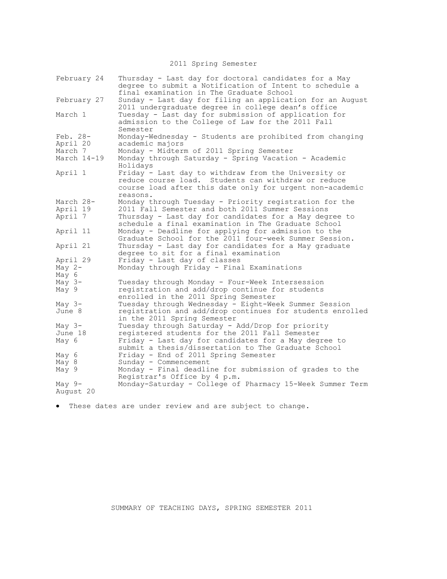2011 Spring Semester

| February 24 | Thursday - Last day for doctoral candidates for a May<br>degree to submit a Notification of Intent to schedule a<br>final examination in The Graduate School                        |
|-------------|-------------------------------------------------------------------------------------------------------------------------------------------------------------------------------------|
| February 27 | Sunday - Last day for filing an application for an August<br>2011 undergraduate degree in college dean's office                                                                     |
| March 1     | Tuesday - Last day for submission of application for<br>admission to the College of Law for the 2011 Fall<br>Semester                                                               |
| Feb. 28-    | Monday-Wednesday - Students are prohibited from changing                                                                                                                            |
| April 20    | academic majors                                                                                                                                                                     |
| March 7     | Monday - Midterm of 2011 Spring Semester                                                                                                                                            |
| March 14-19 | Monday through Saturday - Spring Vacation - Academic<br>Holidays                                                                                                                    |
| April 1     | Friday - Last day to withdraw from the University or<br>reduce course load. Students can withdraw or reduce<br>course load after this date only for urgent non-academic<br>reasons. |
| March 28-   | Monday through Tuesday - Priority registration for the                                                                                                                              |
| April 19    | 2011 Fall Semester and both 2011 Summer Sessions                                                                                                                                    |
| April 7     | Thursday - Last day for candidates for a May degree to<br>schedule a final examination in The Graduate School                                                                       |
| April 11    | Monday - Deadline for applying for admission to the<br>Graduate School for the 2011 four-week Summer Session.                                                                       |
| April 21    | Thursday - Last day for candidates for a May graduate<br>degree to sit for a final examination                                                                                      |
| April 29    | Friday - Last day of classes                                                                                                                                                        |
| May $2-$    | Monday through Friday - Final Examinations                                                                                                                                          |
| May 6       |                                                                                                                                                                                     |
| May $3-$    | Tuesday through Monday - Four-Week Intersession                                                                                                                                     |
| May 9       | registration and add/drop continue for students                                                                                                                                     |
|             | enrolled in the 2011 Spring Semester                                                                                                                                                |
| May $3-$    | Tuesday through Wednesday - Eight-Week Summer Session                                                                                                                               |
| June 8      | registration and add/drop continues for students enrolled                                                                                                                           |
|             | in the 2011 Spring Semester                                                                                                                                                         |
| May $3-$    | Tuesday through Saturday - Add/Drop for priority                                                                                                                                    |
| June 18     | registered students for the 2011 Fall Semester                                                                                                                                      |
| May 6       | Friday - Last day for candidates for a May degree to                                                                                                                                |
|             | submit a thesis/dissertation to The Graduate School                                                                                                                                 |
|             |                                                                                                                                                                                     |
| May 6       | Friday - End of 2011 Spring Semester                                                                                                                                                |
| May 8       | Sunday - Commencement                                                                                                                                                               |
| May 9       | Monday - Final deadline for submission of grades to the<br>Registrar's Office by 4 p.m.                                                                                             |
|             |                                                                                                                                                                                     |
| May $9-$    | Monday-Saturday - College of Pharmacy 15-Week Summer Term                                                                                                                           |
| August 20   |                                                                                                                                                                                     |

These dates are under review and are subject to change.

SUMMARY OF TEACHING DAYS, SPRING SEMESTER 2011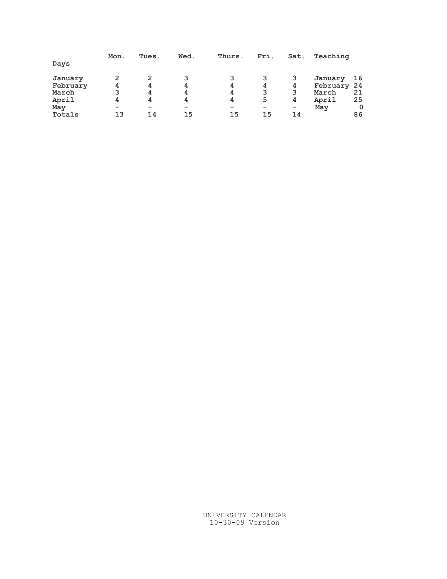|          | Mon. | Tues. | Wed. | Thurs. | Fri. | Sat.                     | Teaching |    |
|----------|------|-------|------|--------|------|--------------------------|----------|----|
| Days     |      |       |      |        |      |                          |          |    |
| January  | 2    |       | 3    |        |      | 3                        | January  | 16 |
| February | 4    | 4     | 4    | 4      | 4    | 4                        | February | 24 |
| March    | 3    | 4     | 4    | 4      |      | 3                        | March    | 21 |
| April    | 4    | 4     | 4    | 4      | 5    | 4                        | April    | 25 |
| May      |      | -     | -    | -      | -    | $\overline{\phantom{a}}$ | May      | 0  |
| Totals   | 13   | 14    | 15   | 15     | 15   | 14                       |          | 86 |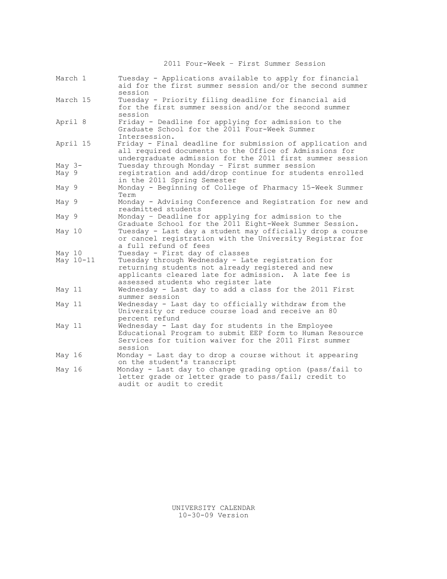2011 Four-Week – First Summer Session

| March 1             | Tuesday - Applications available to apply for financial<br>aid for the first summer session and/or the second summer<br>session                                                                                                         |
|---------------------|-----------------------------------------------------------------------------------------------------------------------------------------------------------------------------------------------------------------------------------------|
| March 15            | Tuesday - Priority filing deadline for financial aid<br>for the first summer session and/or the second summer<br>session                                                                                                                |
| April 8             | Friday - Deadline for applying for admission to the<br>Graduate School for the 2011 Four-Week Summer<br>Intersession.                                                                                                                   |
| April 15            | Friday - Final deadline for submission of application and<br>all required documents to the Office of Admissions for<br>undergraduate admission for the 2011 first summer session                                                        |
| May $3-$<br>May 9   | Tuesday through Monday - First summer session<br>registration and add/drop continue for students enrolled<br>in the 2011 Spring Semester                                                                                                |
| May 9               | Monday - Beginning of College of Pharmacy 15-Week Summer<br>Term                                                                                                                                                                        |
| May 9               | Monday - Advising Conference and Registration for new and<br>readmitted students                                                                                                                                                        |
| May 9               | Monday - Deadline for applying for admission to the<br>Graduate School for the 2011 Eight-Week Summer Session.                                                                                                                          |
| May 10              | Tuesday - Last day a student may officially drop a course<br>or cancel registration with the University Registrar for<br>a full refund of fees                                                                                          |
| May 10<br>May 10-11 | Tuesday - First day of classes<br>Tuesday through Wednesday - Late registration for<br>returning students not already registered and new<br>applicants cleared late for admission. A late fee is<br>assessed students who register late |
| May 11              | Wednesday - Last day to add a class for the 2011 First<br>summer session                                                                                                                                                                |
| May 11              | Wednesday - Last day to officially withdraw from the<br>University or reduce course load and receive an 80<br>percent refund                                                                                                            |
| May 11              | Wednesday - Last day for students in the Employee<br>Educational Program to submit EEP form to Human Resource<br>Services for tuition waiver for the 2011 First summer<br>session                                                       |
| May 16              | Monday - Last day to drop a course without it appearing<br>on the student's transcript                                                                                                                                                  |
| May 16              | Monday - Last day to change grading option (pass/fail to<br>letter grade or letter grade to pass/fail; credit to<br>audit or audit to credit                                                                                            |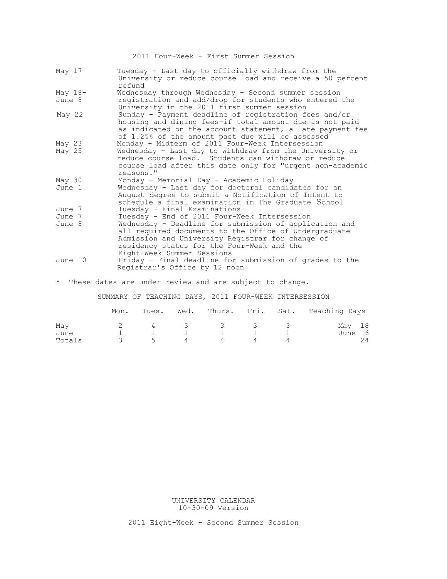2011 Four-Week - First Summer Session

| May 17    | Tuesday - Last day to officially withdraw from the<br>University or reduce course load and receive a 50 percent<br>refund                                                                                                                       |
|-----------|-------------------------------------------------------------------------------------------------------------------------------------------------------------------------------------------------------------------------------------------------|
| May $18-$ | Wednesday through Wednesday - Second summer session                                                                                                                                                                                             |
| June 8    | registration and add/drop for students who entered the<br>University in the 2011 first summer session                                                                                                                                           |
| May 22    | Sunday - Payment deadline of registration fees and/or<br>housing and dining fees-if total amount due is not paid<br>as indicated on the account statement, a late payment fee<br>of 1.25% of the amount past due will be assessed               |
| May 23    | Monday - Midterm of 2011 Four-Week Intersession                                                                                                                                                                                                 |
| May 25    | Wednesday - Last day to withdraw from the University or<br>reduce course load. Students can withdraw or reduce<br>course load after this date only for "urgent non-academic<br>reasons."                                                        |
| May 30    | Monday - Memorial Day - Academic Holiday                                                                                                                                                                                                        |
| June 1    | Wednesday - Last day for doctoral candidates for an<br>August degree to submit a Notification of Intent to<br>schedule a final examination in The Graduate School                                                                               |
| June 7    | Tuesday - Final Examinations                                                                                                                                                                                                                    |
| June 7    | Tuesday - End of 2011 Four-Week Intersession                                                                                                                                                                                                    |
| June 8    | Wednesday - Deadline for submission of application and<br>all required documents to the Office of Undergraduate<br>Admission and University Registrar for change of<br>residency status for the Four-Week and the<br>Eight-Week Summer Sessions |
| June 10   | Friday - Final deadline for submission of grades to the<br>Registrar's Office by 12 noon                                                                                                                                                        |

\* These dates are under review and are subject to change.

SUMMARY OF TEACHING DAYS, 2011 FOUR-WEEK INTERSESSION

|        | Mon. |   |                |         |   | Tues. Wed. Thurs. Fri. Sat. Teaching Days |
|--------|------|---|----------------|---------|---|-------------------------------------------|
| May    |      |   |                | 4 3 3 3 | 3 | May 18                                    |
| June   |      |   |                |         |   | June 6                                    |
| Totals |      | 5 | $\overline{4}$ |         |   | 24                                        |

UNIVERSITY CALENDAR 10-30-09 Version

2011 Eight-Week – Second Summer Session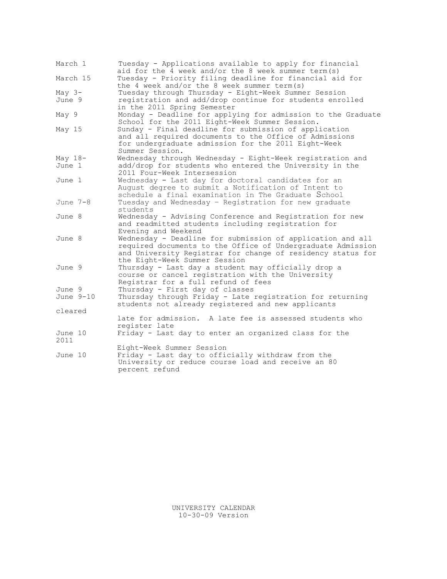| March 1         | Tuesday - Applications available to apply for financial<br>aid for the 4 week and/or the 8 week summer term (s)                                                                                                           |
|-----------------|---------------------------------------------------------------------------------------------------------------------------------------------------------------------------------------------------------------------------|
| March 15        | Tuesday - Priority filing deadline for financial aid for<br>the 4 week and/or the 8 week summer term $(s)$                                                                                                                |
| May $3-$        | Tuesday through Thursday - Eight-Week Summer Session                                                                                                                                                                      |
| June 9          | registration and add/drop continue for students enrolled<br>in the 2011 Spring Semester                                                                                                                                   |
| May 9           | Monday - Deadline for applying for admission to the Graduate<br>School for the 2011 Eight-Week Summer Session.                                                                                                            |
| May 15          | Sunday - Final deadline for submission of application<br>and all required documents to the Office of Admissions<br>for undergraduate admission for the 2011 Eight-Week<br>Summer Session.                                 |
| May $18-$       | Wednesday through Wednesday - Eight-Week registration and                                                                                                                                                                 |
| June 1          | add/drop for students who entered the University in the<br>2011 Four-Week Intersession                                                                                                                                    |
| June 1          | Wednesday - Last day for doctoral candidates for an<br>August degree to submit a Notification of Intent to<br>schedule a final examination in The Graduate School                                                         |
| June 7-8        | Tuesday and Wednesday - Registration for new graduate<br>students                                                                                                                                                         |
| June 8          | Wednesday - Advising Conference and Registration for new<br>and readmitted students including registration for<br>Evening and Weekend                                                                                     |
| June 8          | Wednesday - Deadline for submission of application and all<br>required documents to the Office of Undergraduate Admission<br>and University Registrar for change of residency status for<br>the Eight-Week Summer Session |
| June 9          | Thursday - Last day a student may officially drop a<br>course or cancel registration with the University<br>Registrar for a full refund of fees                                                                           |
| June 9          | Thursday - First day of classes                                                                                                                                                                                           |
| June 9-10       | Thursday through Friday - Late registration for returning<br>students not already registered and new applicants                                                                                                           |
| cleared         |                                                                                                                                                                                                                           |
|                 | late for admission. A late fee is assessed students who<br>register late                                                                                                                                                  |
| June 10<br>2011 | Friday - Last day to enter an organized class for the                                                                                                                                                                     |
|                 | Eight-Week Summer Session                                                                                                                                                                                                 |
| June 10         | Friday - Last day to officially withdraw from the<br>University or reduce course load and receive an 80<br>percent refund                                                                                                 |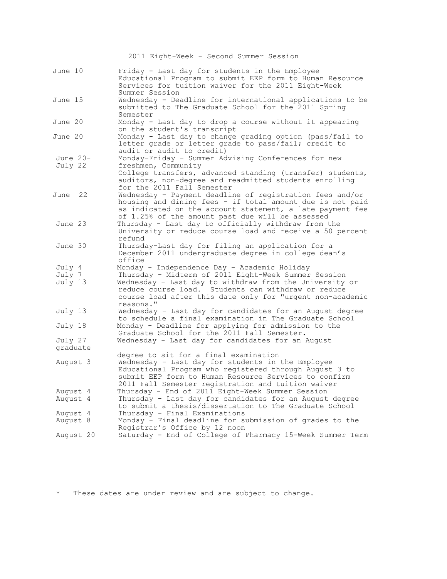|                             | 2011 Eight-Week - Second Summer Session                                                                                                                                                                                                                                                          |  |  |  |  |  |
|-----------------------------|--------------------------------------------------------------------------------------------------------------------------------------------------------------------------------------------------------------------------------------------------------------------------------------------------|--|--|--|--|--|
| June 10                     | Friday - Last day for students in the Employee<br>Educational Program to submit EEP form to Human Resource<br>Services for tuition waiver for the 2011 Eight-Week<br>Summer Session                                                                                                              |  |  |  |  |  |
| June 15                     | Wednesday - Deadline for international applications to be<br>submitted to The Graduate School for the 2011 Spring<br>Semester                                                                                                                                                                    |  |  |  |  |  |
| June 20                     | Monday - Last day to drop a course without it appearing<br>on the student's transcript                                                                                                                                                                                                           |  |  |  |  |  |
| June 20                     | Monday - Last day to change grading option (pass/fail to<br>letter grade or letter grade to pass/fail; credit to<br>audit or audit to credit)                                                                                                                                                    |  |  |  |  |  |
| June $20-$<br>July 22       | Monday-Friday - Summer Advising Conferences for new<br>freshmen, Community<br>College transfers, advanced standing (transfer) students,<br>auditors, non-degree and readmitted students enrolling<br>for the 2011 Fall Semester                                                                  |  |  |  |  |  |
| June 22                     | Wednesday - Payment deadline of registration fees and/or<br>housing and dining fees - if total amount due is not paid<br>as indicated on the account statement, a late payment fee<br>of 1.25% of the amount past due will be assessed                                                           |  |  |  |  |  |
| June 23                     | Thursday - Last day to officially withdraw from the<br>University or reduce course load and receive a 50 percent<br>refund                                                                                                                                                                       |  |  |  |  |  |
| June 30                     | Thursday-Last day for filing an application for a<br>December 2011 undergraduate degree in college dean's<br>office                                                                                                                                                                              |  |  |  |  |  |
| July 4<br>July 7<br>July 13 | Monday - Independence Day - Academic Holiday<br>Thursday - Midterm of 2011 Eight-Week Summer Session<br>Wednesday - Last day to withdraw from the University or<br>reduce course load. Students can withdraw or reduce<br>course load after this date only for "urgent non-academic<br>reasons." |  |  |  |  |  |
| July 13                     | Wednesday - Last day for candidates for an August degree<br>to schedule a final examination in The Graduate School                                                                                                                                                                               |  |  |  |  |  |
| July 18                     | Monday - Deadline for applying for admission to the<br>Graduate School for the 2011 Fall Semester.                                                                                                                                                                                               |  |  |  |  |  |
| July 27<br>graduate         | Wednesday - Last day for candidates for an August                                                                                                                                                                                                                                                |  |  |  |  |  |
| August 3                    | degree to sit for a final examination<br>Wednesday - Last day for students in the Employee<br>Educational Program who registered through August 3 to<br>submit EEP form to Human Resource Services to confirm<br>2011 Fall Semester registration and tuition waiver                              |  |  |  |  |  |
| August 4<br>August 4        | Thursday - End of 2011 Eight-Week Summer Session<br>Thursday - Last day for candidates for an August degree<br>to submit a thesis/dissertation to The Graduate School                                                                                                                            |  |  |  |  |  |
| August 4<br>August 8        | Thursday - Final Examinations<br>Monday - Final deadline for submission of grades to the                                                                                                                                                                                                         |  |  |  |  |  |
|                             | Registrar's Office by 12 noon                                                                                                                                                                                                                                                                    |  |  |  |  |  |
| August 20                   | Saturday - End of College of Pharmacy 15-Week Summer Term                                                                                                                                                                                                                                        |  |  |  |  |  |

\* These dates are under review and are subject to change.